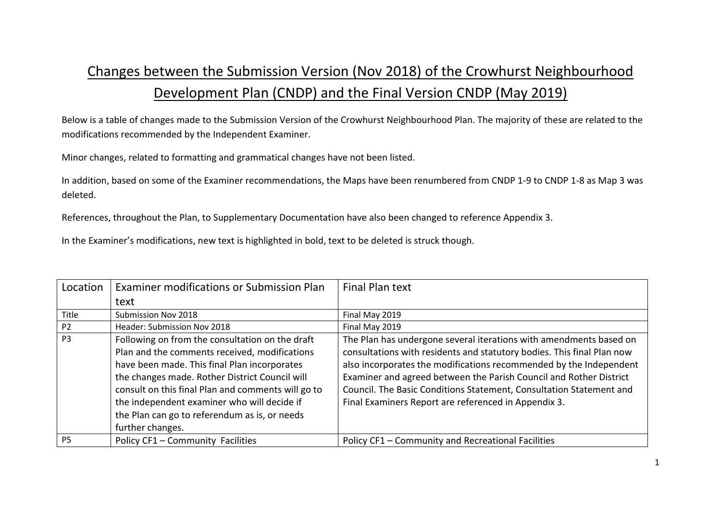## Changes between the Submission Version (Nov 2018) of the Crowhurst Neighbourhood Development Plan (CNDP) and the Final Version CNDP (May 2019)

Below is a table of changes made to the Submission Version of the Crowhurst Neighbourhood Plan. The majority of these are related to the modifications recommended by the Independent Examiner.

Minor changes, related to formatting and grammatical changes have not been listed.

In addition, based on some of the Examiner recommendations, the Maps have been renumbered from CNDP 1-9 to CNDP 1-8 as Map 3 was deleted.

References, throughout the Plan, to Supplementary Documentation have also been changed to reference Appendix 3.

In the Examiner's modifications, new text is highlighted in bold, text to be deleted is struck though.

| Location       | Examiner modifications or Submission Plan                                                                                                                                                                                                                                                                                                                                    | Final Plan text                                                                                                                                                                                                                                                                                                                                                                                                         |
|----------------|------------------------------------------------------------------------------------------------------------------------------------------------------------------------------------------------------------------------------------------------------------------------------------------------------------------------------------------------------------------------------|-------------------------------------------------------------------------------------------------------------------------------------------------------------------------------------------------------------------------------------------------------------------------------------------------------------------------------------------------------------------------------------------------------------------------|
|                | text                                                                                                                                                                                                                                                                                                                                                                         |                                                                                                                                                                                                                                                                                                                                                                                                                         |
| Title          | Submission Nov 2018                                                                                                                                                                                                                                                                                                                                                          | Final May 2019                                                                                                                                                                                                                                                                                                                                                                                                          |
| P <sub>2</sub> | Header: Submission Nov 2018                                                                                                                                                                                                                                                                                                                                                  | Final May 2019                                                                                                                                                                                                                                                                                                                                                                                                          |
| P <sub>3</sub> | Following on from the consultation on the draft<br>Plan and the comments received, modifications<br>have been made. This final Plan incorporates<br>the changes made. Rother District Council will<br>consult on this final Plan and comments will go to<br>the independent examiner who will decide if<br>the Plan can go to referendum as is, or needs<br>further changes. | The Plan has undergone several iterations with amendments based on<br>consultations with residents and statutory bodies. This final Plan now<br>also incorporates the modifications recommended by the Independent<br>Examiner and agreed between the Parish Council and Rother District<br>Council. The Basic Conditions Statement, Consultation Statement and<br>Final Examiners Report are referenced in Appendix 3. |
| <b>P5</b>      | Policy CF1 - Community Facilities                                                                                                                                                                                                                                                                                                                                            | Policy CF1 - Community and Recreational Facilities                                                                                                                                                                                                                                                                                                                                                                      |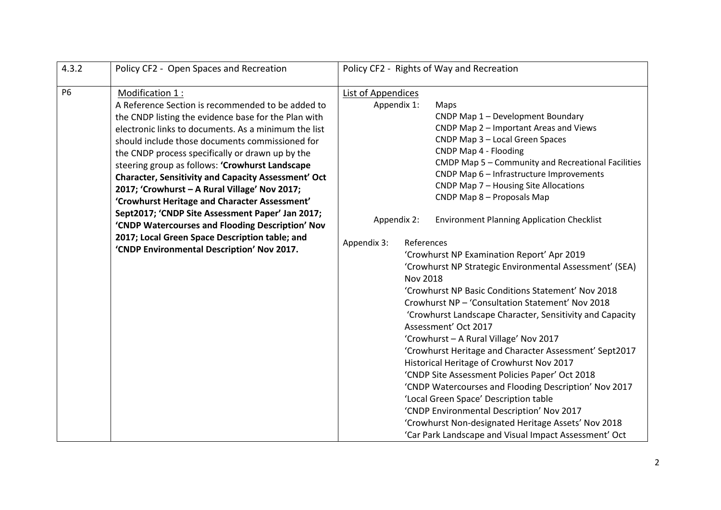| 4.3.2     | Policy CF2 - Open Spaces and Recreation                                                                                                                                                                                                                                                                                                                                                                                                                                                                                                                                                                                                                                                                                | Policy CF2 - Rights of Way and Recreation                                                                                                                                                                                                                                                                                                                                                                                                                                                                                                                                                                                                                                                                                                                                                                                                                                                                                                                                                                                                                                                                                                                                                                                                                  |  |
|-----------|------------------------------------------------------------------------------------------------------------------------------------------------------------------------------------------------------------------------------------------------------------------------------------------------------------------------------------------------------------------------------------------------------------------------------------------------------------------------------------------------------------------------------------------------------------------------------------------------------------------------------------------------------------------------------------------------------------------------|------------------------------------------------------------------------------------------------------------------------------------------------------------------------------------------------------------------------------------------------------------------------------------------------------------------------------------------------------------------------------------------------------------------------------------------------------------------------------------------------------------------------------------------------------------------------------------------------------------------------------------------------------------------------------------------------------------------------------------------------------------------------------------------------------------------------------------------------------------------------------------------------------------------------------------------------------------------------------------------------------------------------------------------------------------------------------------------------------------------------------------------------------------------------------------------------------------------------------------------------------------|--|
| <b>P6</b> | Modification 1:<br>A Reference Section is recommended to be added to<br>the CNDP listing the evidence base for the Plan with<br>electronic links to documents. As a minimum the list<br>should include those documents commissioned for<br>the CNDP process specifically or drawn up by the<br>steering group as follows: 'Crowhurst Landscape<br><b>Character, Sensitivity and Capacity Assessment' Oct</b><br>2017; 'Crowhurst - A Rural Village' Nov 2017;<br>'Crowhurst Heritage and Character Assessment'<br>Sept2017; 'CNDP Site Assessment Paper' Jan 2017;<br>'CNDP Watercourses and Flooding Description' Nov<br>2017; Local Green Space Description table; and<br>'CNDP Environmental Description' Nov 2017. | List of Appendices<br>Appendix 1:<br>Maps<br>CNDP Map 1 - Development Boundary<br>CNDP Map 2 - Important Areas and Views<br>CNDP Map 3 - Local Green Spaces<br>CNDP Map 4 - Flooding<br>CMDP Map 5 - Community and Recreational Facilities<br>CNDP Map 6 - Infrastructure Improvements<br>CNDP Map 7 - Housing Site Allocations<br>CNDP Map 8 - Proposals Map<br>Appendix 2:<br><b>Environment Planning Application Checklist</b><br>Appendix 3:<br>References<br>'Crowhurst NP Examination Report' Apr 2019<br>'Crowhurst NP Strategic Environmental Assessment' (SEA)<br><b>Nov 2018</b><br>'Crowhurst NP Basic Conditions Statement' Nov 2018<br>Crowhurst NP - 'Consultation Statement' Nov 2018<br>'Crowhurst Landscape Character, Sensitivity and Capacity<br>Assessment' Oct 2017<br>'Crowhurst - A Rural Village' Nov 2017<br>'Crowhurst Heritage and Character Assessment' Sept2017<br>Historical Heritage of Crowhurst Nov 2017<br>'CNDP Site Assessment Policies Paper' Oct 2018<br>'CNDP Watercourses and Flooding Description' Nov 2017<br>'Local Green Space' Description table<br>'CNDP Environmental Description' Nov 2017<br>'Crowhurst Non-designated Heritage Assets' Nov 2018<br>'Car Park Landscape and Visual Impact Assessment' Oct |  |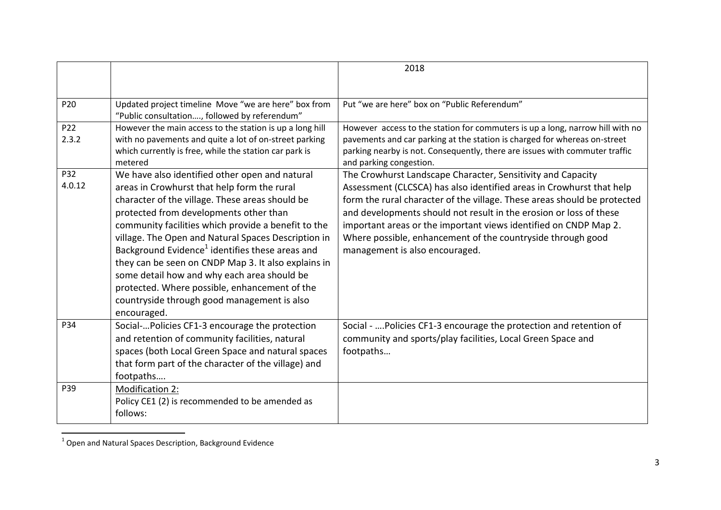|               |                                                                                                                                                                                                                                                                                                                                                                                                                                                                                                                                                                                              | 2018                                                                                                                                                                                                                                                                                                                                                                                                                                                       |
|---------------|----------------------------------------------------------------------------------------------------------------------------------------------------------------------------------------------------------------------------------------------------------------------------------------------------------------------------------------------------------------------------------------------------------------------------------------------------------------------------------------------------------------------------------------------------------------------------------------------|------------------------------------------------------------------------------------------------------------------------------------------------------------------------------------------------------------------------------------------------------------------------------------------------------------------------------------------------------------------------------------------------------------------------------------------------------------|
|               |                                                                                                                                                                                                                                                                                                                                                                                                                                                                                                                                                                                              |                                                                                                                                                                                                                                                                                                                                                                                                                                                            |
| P20           | Updated project timeline Move "we are here" box from<br>"Public consultation, followed by referendum"                                                                                                                                                                                                                                                                                                                                                                                                                                                                                        | Put "we are here" box on "Public Referendum"                                                                                                                                                                                                                                                                                                                                                                                                               |
| P22<br>2.3.2  | However the main access to the station is up a long hill<br>with no pavements and quite a lot of on-street parking<br>which currently is free, while the station car park is<br>metered                                                                                                                                                                                                                                                                                                                                                                                                      | However access to the station for commuters is up a long, narrow hill with no<br>pavements and car parking at the station is charged for whereas on-street<br>parking nearby is not. Consequently, there are issues with commuter traffic<br>and parking congestion.                                                                                                                                                                                       |
| P32<br>4.0.12 | We have also identified other open and natural<br>areas in Crowhurst that help form the rural<br>character of the village. These areas should be<br>protected from developments other than<br>community facilities which provide a benefit to the<br>village. The Open and Natural Spaces Description in<br>Background Evidence <sup>1</sup> identifies these areas and<br>they can be seen on CNDP Map 3. It also explains in<br>some detail how and why each area should be<br>protected. Where possible, enhancement of the<br>countryside through good management is also<br>encouraged. | The Crowhurst Landscape Character, Sensitivity and Capacity<br>Assessment (CLCSCA) has also identified areas in Crowhurst that help<br>form the rural character of the village. These areas should be protected<br>and developments should not result in the erosion or loss of these<br>important areas or the important views identified on CNDP Map 2.<br>Where possible, enhancement of the countryside through good<br>management is also encouraged. |
| P34           | Social- Policies CF1-3 encourage the protection<br>and retention of community facilities, natural<br>spaces (both Local Green Space and natural spaces<br>that form part of the character of the village) and<br>footpaths                                                                                                                                                                                                                                                                                                                                                                   | Social -  Policies CF1-3 encourage the protection and retention of<br>community and sports/play facilities, Local Green Space and<br>footpaths                                                                                                                                                                                                                                                                                                             |
| P39           | Modification 2:<br>Policy CE1 (2) is recommended to be amended as<br>follows:                                                                                                                                                                                                                                                                                                                                                                                                                                                                                                                |                                                                                                                                                                                                                                                                                                                                                                                                                                                            |

 1 Open and Natural Spaces Description, Background Evidence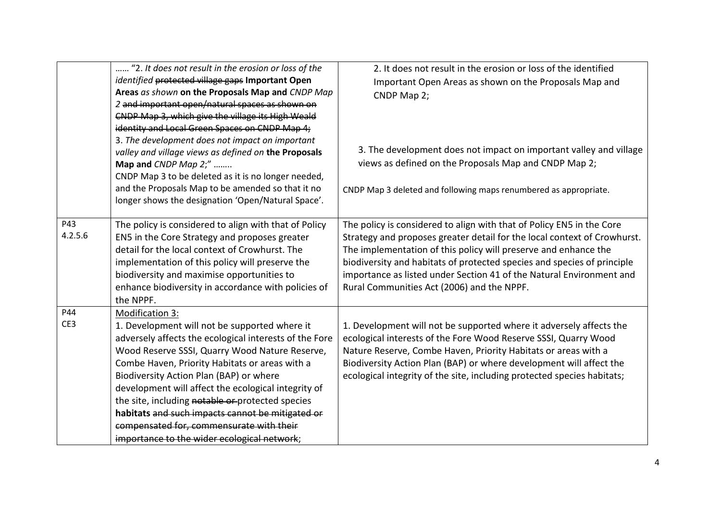|         | "2. It does not result in the erosion or loss of the                                                    | 2. It does not result in the erosion or loss of the identified           |
|---------|---------------------------------------------------------------------------------------------------------|--------------------------------------------------------------------------|
|         | identified protected village gaps Important Open                                                        | Important Open Areas as shown on the Proposals Map and                   |
|         | Areas as shown on the Proposals Map and CNDP Map                                                        | CNDP Map 2;                                                              |
|         | 2 and important open/natural spaces as shown on                                                         |                                                                          |
|         | CNDP Map 3, which give the village its High Weald                                                       |                                                                          |
|         | identity and Local Green Spaces on CNDP Map 4;                                                          |                                                                          |
|         | 3. The development does not impact on important                                                         |                                                                          |
|         | valley and village views as defined on the Proposals                                                    | 3. The development does not impact on important valley and village       |
|         | Map and CNDP Map 2;"                                                                                    | views as defined on the Proposals Map and CNDP Map 2;                    |
|         | CNDP Map 3 to be deleted as it is no longer needed,                                                     |                                                                          |
|         | and the Proposals Map to be amended so that it no<br>longer shows the designation 'Open/Natural Space'. | CNDP Map 3 deleted and following maps renumbered as appropriate.         |
| P43     | The policy is considered to align with that of Policy                                                   | The policy is considered to align with that of Policy EN5 in the Core    |
| 4.2.5.6 | EN5 in the Core Strategy and proposes greater                                                           | Strategy and proposes greater detail for the local context of Crowhurst. |
|         | detail for the local context of Crowhurst. The                                                          | The implementation of this policy will preserve and enhance the          |
|         | implementation of this policy will preserve the                                                         | biodiversity and habitats of protected species and species of principle  |
|         | biodiversity and maximise opportunities to                                                              | importance as listed under Section 41 of the Natural Environment and     |
|         | enhance biodiversity in accordance with policies of                                                     | Rural Communities Act (2006) and the NPPF.                               |
|         | the NPPF.                                                                                               |                                                                          |
| P44     | Modification 3:                                                                                         |                                                                          |
| CE3     | 1. Development will not be supported where it                                                           | 1. Development will not be supported where it adversely affects the      |
|         | adversely affects the ecological interests of the Fore                                                  | ecological interests of the Fore Wood Reserve SSSI, Quarry Wood          |
|         | Wood Reserve SSSI, Quarry Wood Nature Reserve,                                                          | Nature Reserve, Combe Haven, Priority Habitats or areas with a           |
|         | Combe Haven, Priority Habitats or areas with a                                                          | Biodiversity Action Plan (BAP) or where development will affect the      |
|         | Biodiversity Action Plan (BAP) or where                                                                 | ecological integrity of the site, including protected species habitats;  |
|         | development will affect the ecological integrity of                                                     |                                                                          |
|         | the site, including notable or protected species                                                        |                                                                          |
|         | habitats and such impacts cannot be mitigated or                                                        |                                                                          |
|         | compensated for, commensurate with their                                                                |                                                                          |
|         | importance to the wider ecological network;                                                             |                                                                          |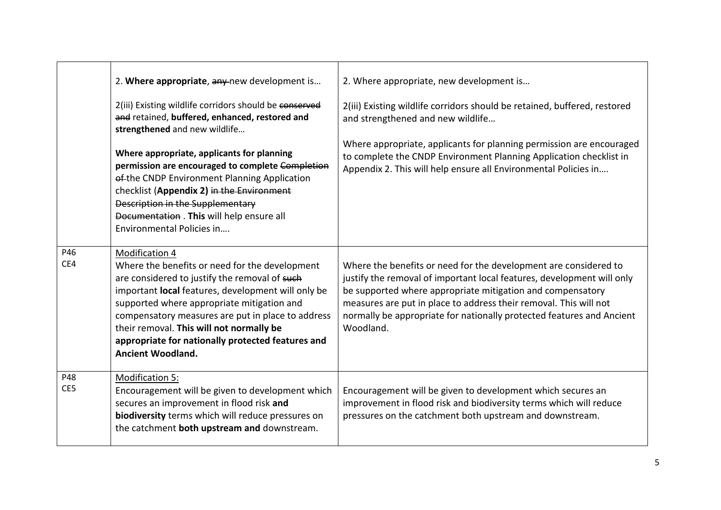|            | 2. Where appropriate, any new development is                                                                                                                                                                                                                                                                                                                                                     | 2. Where appropriate, new development is                                                                                                                                                                                                                                                                                                                            |
|------------|--------------------------------------------------------------------------------------------------------------------------------------------------------------------------------------------------------------------------------------------------------------------------------------------------------------------------------------------------------------------------------------------------|---------------------------------------------------------------------------------------------------------------------------------------------------------------------------------------------------------------------------------------------------------------------------------------------------------------------------------------------------------------------|
|            | 2(iii) Existing wildlife corridors should be conserved<br>and retained, buffered, enhanced, restored and<br>strengthened and new wildlife                                                                                                                                                                                                                                                        | 2(iii) Existing wildlife corridors should be retained, buffered, restored<br>and strengthened and new wildlife                                                                                                                                                                                                                                                      |
|            | Where appropriate, applicants for planning<br>permission are encouraged to complete Completion<br>ef-the CNDP Environment Planning Application<br>checklist (Appendix 2) in the Environment<br>Description in the Supplementary<br>Documentation . This will help ensure all<br>Environmental Policies in                                                                                        | Where appropriate, applicants for planning permission are encouraged<br>to complete the CNDP Environment Planning Application checklist in<br>Appendix 2. This will help ensure all Environmental Policies in                                                                                                                                                       |
| P46<br>CE4 | Modification 4<br>Where the benefits or need for the development<br>are considered to justify the removal of such<br>important local features, development will only be<br>supported where appropriate mitigation and<br>compensatory measures are put in place to address<br>their removal. This will not normally be<br>appropriate for nationally protected features and<br>Ancient Woodland. | Where the benefits or need for the development are considered to<br>justify the removal of important local features, development will only<br>be supported where appropriate mitigation and compensatory<br>measures are put in place to address their removal. This will not<br>normally be appropriate for nationally protected features and Ancient<br>Woodland. |
| P48<br>CE5 | Modification 5:<br>Encouragement will be given to development which<br>secures an improvement in flood risk and<br>biodiversity terms which will reduce pressures on<br>the catchment both upstream and downstream.                                                                                                                                                                              | Encouragement will be given to development which secures an<br>improvement in flood risk and biodiversity terms which will reduce<br>pressures on the catchment both upstream and downstream.                                                                                                                                                                       |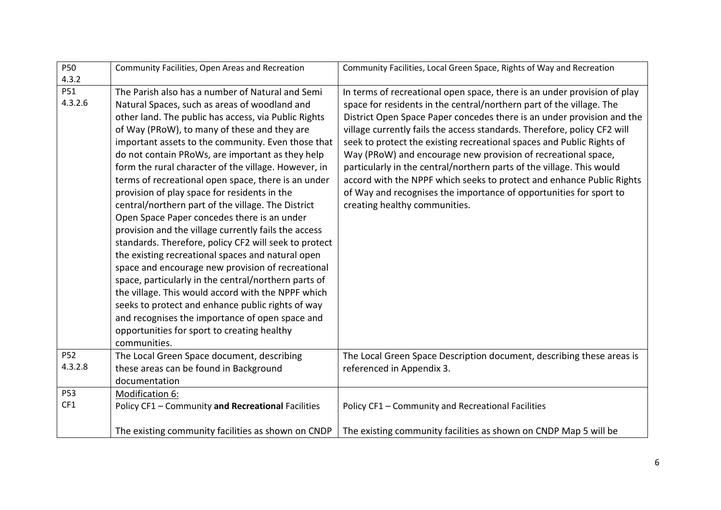| P50        | Community Facilities, Open Areas and Recreation       | Community Facilities, Local Green Space, Rights of Way and Recreation    |
|------------|-------------------------------------------------------|--------------------------------------------------------------------------|
| 4.3.2      |                                                       |                                                                          |
| P51        | The Parish also has a number of Natural and Semi      | In terms of recreational open space, there is an under provision of play |
| 4.3.2.6    | Natural Spaces, such as areas of woodland and         | space for residents in the central/northern part of the village. The     |
|            | other land. The public has access, via Public Rights  | District Open Space Paper concedes there is an under provision and the   |
|            | of Way (PRoW), to many of these and they are          | village currently fails the access standards. Therefore, policy CF2 will |
|            | important assets to the community. Even those that    | seek to protect the existing recreational spaces and Public Rights of    |
|            | do not contain PRoWs, are important as they help      | Way (PRoW) and encourage new provision of recreational space,            |
|            | form the rural character of the village. However, in  | particularly in the central/northern parts of the village. This would    |
|            | terms of recreational open space, there is an under   | accord with the NPPF which seeks to protect and enhance Public Rights    |
|            | provision of play space for residents in the          | of Way and recognises the importance of opportunities for sport to       |
|            | central/northern part of the village. The District    | creating healthy communities.                                            |
|            | Open Space Paper concedes there is an under           |                                                                          |
|            | provision and the village currently fails the access  |                                                                          |
|            | standards. Therefore, policy CF2 will seek to protect |                                                                          |
|            | the existing recreational spaces and natural open     |                                                                          |
|            | space and encourage new provision of recreational     |                                                                          |
|            | space, particularly in the central/northern parts of  |                                                                          |
|            | the village. This would accord with the NPPF which    |                                                                          |
|            | seeks to protect and enhance public rights of way     |                                                                          |
|            | and recognises the importance of open space and       |                                                                          |
|            | opportunities for sport to creating healthy           |                                                                          |
|            | communities.                                          |                                                                          |
| <b>P52</b> | The Local Green Space document, describing            | The Local Green Space Description document, describing these areas is    |
| 4.3.2.8    | these areas can be found in Background                | referenced in Appendix 3.                                                |
|            | documentation                                         |                                                                          |
| P53        | Modification 6:                                       |                                                                          |
| CF1        | Policy CF1 - Community and Recreational Facilities    | Policy CF1 - Community and Recreational Facilities                       |
|            |                                                       |                                                                          |
|            | The existing community facilities as shown on CNDP    | The existing community facilities as shown on CNDP Map 5 will be         |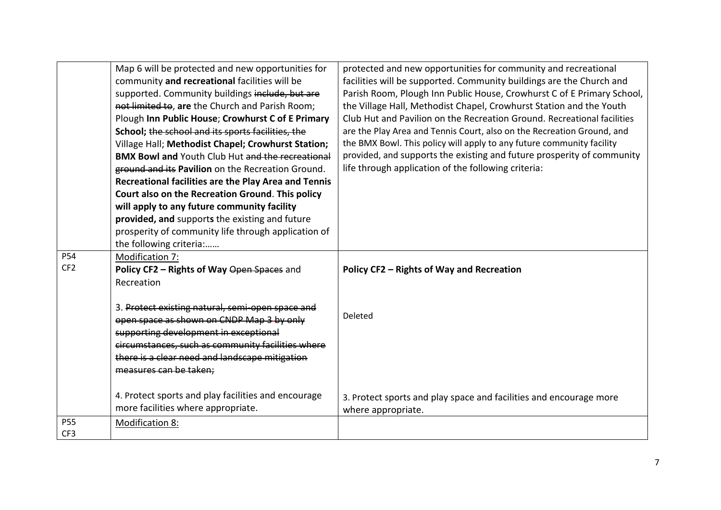|                 | Map 6 will be protected and new opportunities for       | protected and new opportunities for community and recreational          |
|-----------------|---------------------------------------------------------|-------------------------------------------------------------------------|
|                 | community and recreational facilities will be           | facilities will be supported. Community buildings are the Church and    |
|                 | supported. Community buildings include, but are         | Parish Room, Plough Inn Public House, Crowhurst C of E Primary School,  |
|                 | not limited to, are the Church and Parish Room;         | the Village Hall, Methodist Chapel, Crowhurst Station and the Youth     |
|                 | Plough Inn Public House; Crowhurst C of E Primary       | Club Hut and Pavilion on the Recreation Ground. Recreational facilities |
|                 | School; the school and its sports facilities, the       | are the Play Area and Tennis Court, also on the Recreation Ground, and  |
|                 | Village Hall; Methodist Chapel; Crowhurst Station;      | the BMX Bowl. This policy will apply to any future community facility   |
|                 | <b>BMX Bowl and Youth Club Hut and the recreational</b> | provided, and supports the existing and future prosperity of community  |
|                 | ground and its Pavilion on the Recreation Ground.       | life through application of the following criteria:                     |
|                 | Recreational facilities are the Play Area and Tennis    |                                                                         |
|                 | Court also on the Recreation Ground. This policy        |                                                                         |
|                 | will apply to any future community facility             |                                                                         |
|                 | provided, and supports the existing and future          |                                                                         |
|                 | prosperity of community life through application of     |                                                                         |
|                 | the following criteria:                                 |                                                                         |
| P54             | Modification 7:                                         |                                                                         |
| CF <sub>2</sub> | Policy CF2 - Rights of Way Open Spaces and              | Policy CF2 - Rights of Way and Recreation                               |
|                 | Recreation                                              |                                                                         |
|                 |                                                         |                                                                         |
|                 | 3. Protect existing natural, semi-open space and        |                                                                         |
|                 | open space as shown on CNDP Map 3 by only               | Deleted                                                                 |
|                 | supporting development in exceptional                   |                                                                         |
|                 | circumstances, such as community facilities where       |                                                                         |
|                 | there is a clear need and landscape mitigation          |                                                                         |
|                 | measures can be taken;                                  |                                                                         |
|                 |                                                         |                                                                         |
|                 | 4. Protect sports and play facilities and encourage     | 3. Protect sports and play space and facilities and encourage more      |
|                 | more facilities where appropriate.                      | where appropriate.                                                      |
| P55             | <b>Modification 8:</b>                                  |                                                                         |
| CF3             |                                                         |                                                                         |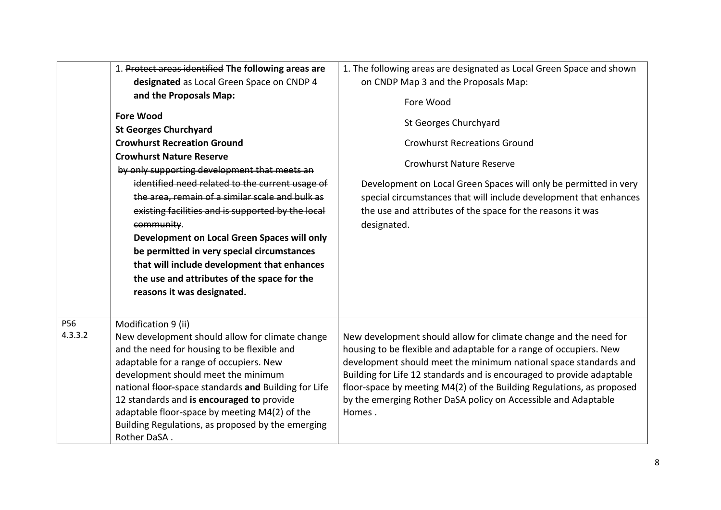|         | 1. Protect areas identified The following areas are         | 1. The following areas are designated as Local Green Space and shown  |
|---------|-------------------------------------------------------------|-----------------------------------------------------------------------|
|         | designated as Local Green Space on CNDP 4                   | on CNDP Map 3 and the Proposals Map:                                  |
|         | and the Proposals Map:                                      | Fore Wood                                                             |
|         | <b>Fore Wood</b>                                            | St Georges Churchyard                                                 |
|         | <b>St Georges Churchyard</b>                                |                                                                       |
|         | <b>Crowhurst Recreation Ground</b>                          | <b>Crowhurst Recreations Ground</b>                                   |
|         | <b>Crowhurst Nature Reserve</b>                             | <b>Crowhurst Nature Reserve</b>                                       |
|         | by only supporting development that meets an                |                                                                       |
|         | identified need related to the current usage of             | Development on Local Green Spaces will only be permitted in very      |
|         | the area, remain of a similar scale and bulk as             | special circumstances that will include development that enhances     |
|         | existing facilities and is supported by the local           | the use and attributes of the space for the reasons it was            |
|         | community.                                                  | designated.                                                           |
|         | Development on Local Green Spaces will only                 |                                                                       |
|         | be permitted in very special circumstances                  |                                                                       |
|         | that will include development that enhances                 |                                                                       |
|         | the use and attributes of the space for the                 |                                                                       |
|         | reasons it was designated.                                  |                                                                       |
|         |                                                             |                                                                       |
| P56     | Modification 9 (ii)                                         |                                                                       |
| 4.3.3.2 | New development should allow for climate change             | New development should allow for climate change and the need for      |
|         | and the need for housing to be flexible and                 | housing to be flexible and adaptable for a range of occupiers. New    |
|         | adaptable for a range of occupiers. New                     | development should meet the minimum national space standards and      |
|         | development should meet the minimum                         | Building for Life 12 standards and is encouraged to provide adaptable |
|         | national <i>fleer-space standards</i> and Building for Life | floor-space by meeting M4(2) of the Building Regulations, as proposed |
|         | 12 standards and is encouraged to provide                   | by the emerging Rother DaSA policy on Accessible and Adaptable        |
|         | adaptable floor-space by meeting M4(2) of the               | Homes.                                                                |
|         | Building Regulations, as proposed by the emerging           |                                                                       |
|         | Rother DaSA.                                                |                                                                       |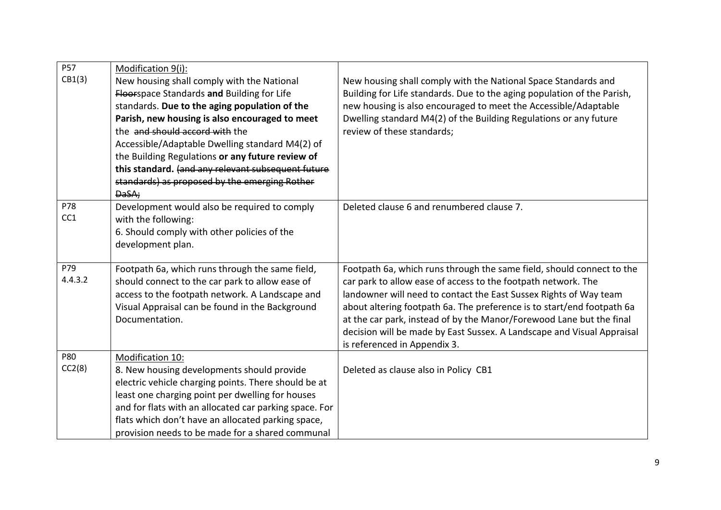| <b>P57</b><br>CB1(3) | Modification 9(i):<br>New housing shall comply with the National<br><b>Floorspace Standards and Building for Life</b><br>standards. Due to the aging population of the<br>Parish, new housing is also encouraged to meet<br>the and should accord with the<br>Accessible/Adaptable Dwelling standard M4(2) of<br>the Building Regulations or any future review of<br>this standard. (and any relevant subsequent future<br>standards) as proposed by the emerging Rother<br>DaSA; | New housing shall comply with the National Space Standards and<br>Building for Life standards. Due to the aging population of the Parish,<br>new housing is also encouraged to meet the Accessible/Adaptable<br>Dwelling standard M4(2) of the Building Regulations or any future<br>review of these standards;                                                                                                                                                         |
|----------------------|-----------------------------------------------------------------------------------------------------------------------------------------------------------------------------------------------------------------------------------------------------------------------------------------------------------------------------------------------------------------------------------------------------------------------------------------------------------------------------------|-------------------------------------------------------------------------------------------------------------------------------------------------------------------------------------------------------------------------------------------------------------------------------------------------------------------------------------------------------------------------------------------------------------------------------------------------------------------------|
| P78<br>CC1           | Development would also be required to comply<br>with the following:<br>6. Should comply with other policies of the<br>development plan.                                                                                                                                                                                                                                                                                                                                           | Deleted clause 6 and renumbered clause 7.                                                                                                                                                                                                                                                                                                                                                                                                                               |
| P79<br>4.4.3.2       | Footpath 6a, which runs through the same field,<br>should connect to the car park to allow ease of<br>access to the footpath network. A Landscape and<br>Visual Appraisal can be found in the Background<br>Documentation.                                                                                                                                                                                                                                                        | Footpath 6a, which runs through the same field, should connect to the<br>car park to allow ease of access to the footpath network. The<br>landowner will need to contact the East Sussex Rights of Way team<br>about altering footpath 6a. The preference is to start/end footpath 6a<br>at the car park, instead of by the Manor/Forewood Lane but the final<br>decision will be made by East Sussex. A Landscape and Visual Appraisal<br>is referenced in Appendix 3. |
| P80<br>CC2(8)        | Modification 10:<br>8. New housing developments should provide<br>electric vehicle charging points. There should be at<br>least one charging point per dwelling for houses<br>and for flats with an allocated car parking space. For<br>flats which don't have an allocated parking space,<br>provision needs to be made for a shared communal                                                                                                                                    | Deleted as clause also in Policy CB1                                                                                                                                                                                                                                                                                                                                                                                                                                    |